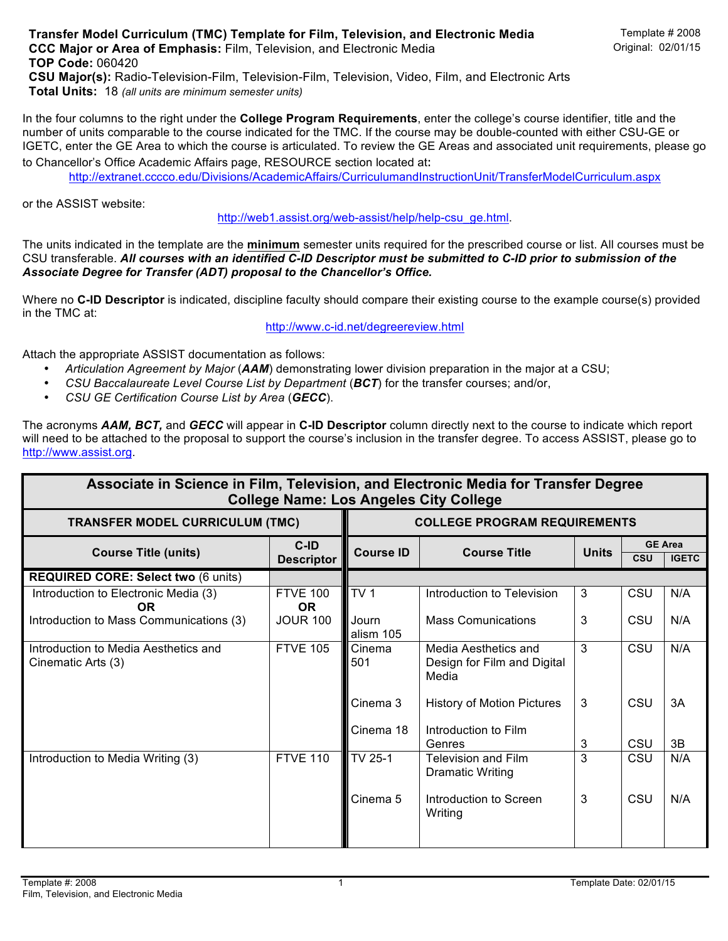In the four columns to the right under the **College Program Requirements**, enter the college's course identifier, title and the number of units comparable to the course indicated for the TMC. If the course may be double-counted with either CSU-GE or IGETC, enter the GE Area to which the course is articulated. To review the GE Areas and associated unit requirements, please go to Chancellor's Office Academic Affairs page, RESOURCE section located at:

http://extranet.cccco.edu/Divisions/AcademicAffairs/CurriculumandInstructionUnit/TransferModelCurriculum.aspx

or the ASSIST website:

http://web1.assist.org/web-assist/help/help-csu\_ge.html.

The units indicated in the template are the **minimum** semester units required for the prescribed course or list. All courses must be CSU transferable. *All courses with an identified C-ID Descriptor must be submitted to C-ID prior to submission of the Associate Degree for Transfer (ADT) proposal to the Chancellor's Office.*

Where no **C-ID Descriptor** is indicated, discipline faculty should compare their existing course to the example course(s) provided in the TMC at:

http://www.c-id.net/degreereview.html

Attach the appropriate ASSIST documentation as follows:

- *Articulation Agreement by Major* (*AAM*) demonstrating lower division preparation in the major at a CSU;
- *CSU Baccalaureate Level Course List by Department* (*BCT*) for the transfer courses; and/or,
- *CSU GE Certification Course List by Area* (*GECC*).

The acronyms *AAM, BCT,* and *GECC* will appear in **C-ID Descriptor** column directly next to the course to indicate which report will need to be attached to the proposal to support the course's inclusion in the transfer degree. To access ASSIST, please go to http://www.assist.org.

| Associate in Science in Film, Television, and Electronic Media for Transfer Degree<br><b>College Name: Los Angeles City College</b> |                              |                                     |                                                              |              |            |                                |  |  |  |  |
|-------------------------------------------------------------------------------------------------------------------------------------|------------------------------|-------------------------------------|--------------------------------------------------------------|--------------|------------|--------------------------------|--|--|--|--|
| <b>TRANSFER MODEL CURRICULUM (TMC)</b>                                                                                              |                              | <b>COLLEGE PROGRAM REQUIREMENTS</b> |                                                              |              |            |                                |  |  |  |  |
| <b>Course Title (units)</b>                                                                                                         | C-ID<br><b>Descriptor</b>    | <b>Course ID</b>                    | <b>Course Title</b>                                          | <b>Units</b> | <b>CSU</b> | <b>GE Area</b><br><b>IGETC</b> |  |  |  |  |
| <b>REQUIRED CORE: Select two (6 units)</b>                                                                                          |                              |                                     |                                                              |              |            |                                |  |  |  |  |
| Introduction to Electronic Media (3)<br><b>OR</b>                                                                                   | <b>FTVE 100</b><br><b>OR</b> | TV <sub>1</sub>                     | Introduction to Television                                   | 3            | CSU        | N/A                            |  |  |  |  |
| Introduction to Mass Communications (3)                                                                                             | <b>JOUR 100</b>              | Journ<br>alism 105                  | <b>Mass Comunications</b>                                    | 3            | CSU        | N/A                            |  |  |  |  |
| Introduction to Media Aesthetics and<br>Cinematic Arts (3)                                                                          | <b>FTVE 105</b>              | Cinema<br>501                       | Media Aesthetics and<br>Design for Film and Digital<br>Media | 3            | CSU        | N/A                            |  |  |  |  |
|                                                                                                                                     |                              | Cinema 3                            | <b>History of Motion Pictures</b>                            | 3            | CSU        | 3A                             |  |  |  |  |
|                                                                                                                                     |                              | Cinema 18                           | Introduction to Film<br>Genres                               | 3            | CSU        | 3B                             |  |  |  |  |
| Introduction to Media Writing (3)                                                                                                   | <b>FTVE 110</b>              | TV 25-1                             | <b>Television and Film</b><br><b>Dramatic Writing</b>        | 3            | CSU        | N/A                            |  |  |  |  |
|                                                                                                                                     |                              | Cinema 5                            | Introduction to Screen<br>Writing                            | 3            | CSU        | N/A                            |  |  |  |  |